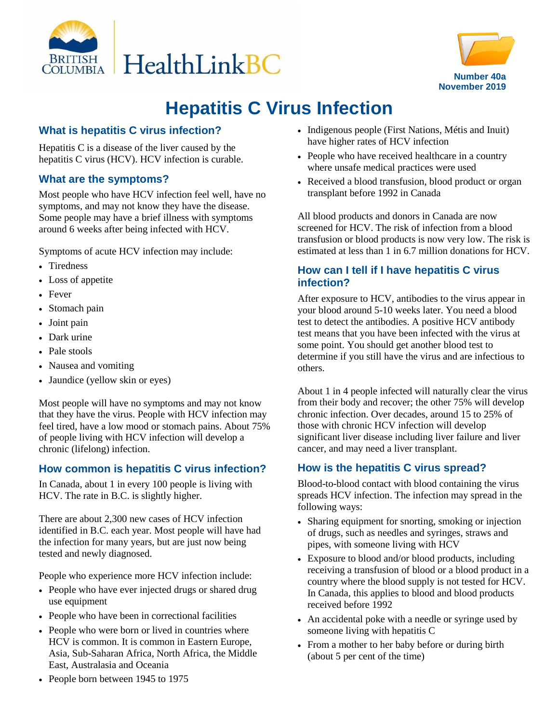



# **Hepatitis C Virus Infection**

# **What is hepatitis C virus infection?**

Hepatitis C is a disease of the liver caused by the hepatitis C virus (HCV). HCV infection is curable.

#### **What are the symptoms?**

Most people who have HCV infection feel well, have no symptoms, and may not know they have the disease. Some people may have a brief illness with symptoms around 6 weeks after being infected with HCV.

Symptoms of acute HCV infection may include:

- Tiredness
- Loss of appetite
- Fever
- Stomach pain
- Joint pain
- Dark urine
- Pale stools
- Nausea and vomiting
- Jaundice (yellow skin or eyes)

Most people will have no symptoms and may not know that they have the virus. People with HCV infection may feel tired, have a low mood or stomach pains. About 75% of people living with HCV infection will develop a chronic (lifelong) infection.

## **How common is hepatitis C virus infection?**

In Canada, about 1 in every 100 people is living with HCV. The rate in B.C. is slightly higher.

There are about 2,300 new cases of HCV infection identified in B.C. each year. Most people will have had the infection for many years, but are just now being tested and newly diagnosed.

People who experience more HCV infection include:

- People who have ever injected drugs or shared drug use equipment
- People who have been in correctional facilities
- People who were born or lived in countries where HCV is common. It is common in Eastern Europe, Asia, Sub-Saharan Africa, North Africa, the Middle East, Australasia and Oceania
- Indigenous people (First Nations, Métis and Inuit) have higher rates of HCV infection
- People who have received healthcare in a country where unsafe medical practices were used
- Received a blood transfusion, blood product or organ transplant before 1992 in Canada

All blood products and donors in Canada are now screened for HCV. The risk of infection from a blood transfusion or blood products is now very low. The risk is estimated at less than 1 in 6.7 million donations for HCV.

#### **How can I tell if I have hepatitis C virus infection?**

After exposure to HCV, antibodies to the virus appear in your blood around 5-10 weeks later. You need a blood test to detect the antibodies. A positive HCV antibody test means that you have been infected with the virus at some point. You should get another blood test to determine if you still have the virus and are infectious to others.

About 1 in 4 people infected will naturally clear the virus from their body and recover; the other 75% will develop chronic infection. Over decades, around 15 to 25% of those with chronic HCV infection will develop significant liver disease including liver failure and liver cancer, and may need a liver transplant.

#### **How is the hepatitis C virus spread?**

Blood-to-blood contact with blood containing the virus spreads HCV infection. The infection may spread in the following ways:

- Sharing equipment for snorting, smoking or injection of drugs, such as needles and syringes, straws and pipes, with someone living with HCV
- Exposure to blood and/or blood products, including receiving a transfusion of blood or a blood product in a country where the blood supply is not tested for HCV. In Canada, this applies to blood and blood products received before 1992
- An accidental poke with a needle or syringe used by someone living with hepatitis C
- From a mother to her baby before or during birth (about 5 per cent of the time)

• People born between 1945 to 1975